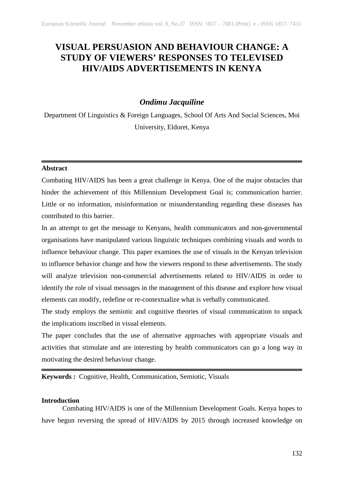# **VISUAL PERSUASION AND BEHAVIOUR CHANGE: A STUDY OF VIEWERS' RESPONSES TO TELEVISED HIV/AIDS ADVERTISEMENTS IN KENYA**

# *Ondimu Jacquiline*

Department Of Linguistics & Foreign Languages, School Of Arts And Social Sciences, Moi University, Eldoret, Kenya

# **Abstract**

Combating HIV/AIDS has been a great challenge in Kenya. One of the major obstacles that hinder the achievement of this Millennium Development Goal is; communication barrier. Little or no information, misinformation or misunderstanding regarding these diseases has contributed to this barrier.

In an attempt to get the message to Kenyans, health communicators and non-governmental organisations have manipulated various linguistic techniques combining visuals and words to influence behaviour change. This paper examines the use of visuals in the Kenyan television to influence behavior change and how the viewers respond to these advertisements. The study will analyze television non-commercial advertisements related to HIV/AIDS in order to identify the role of visual messages in the management of this disease and explore how visual elements can modify, redefine or re-contextualize what is verbally communicated.

The study employs the semiotic and cognitive theories of visual communication to unpack the implications inscribed in visual elements.

The paper concludes that the use of alternative approaches with appropriate visuals and activities that stimulate and are interesting by health communicators can go a long way in motivating the desired behaviour change.

**Keywords :** Cognitive, Health, Communication, Semiotic, Visuals

# **Introduction**

Combating HIV/AIDS is one of the Millennium Development Goals. Kenya hopes to have begun reversing the spread of HIV/AIDS by 2015 through increased knowledge on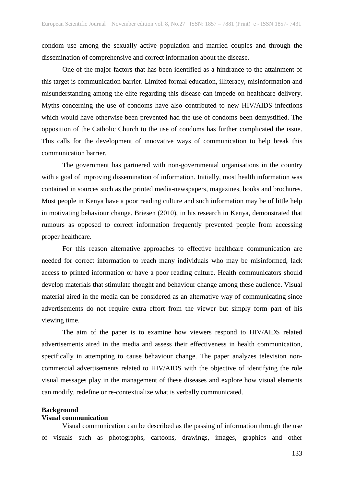condom use among the sexually active population and married couples and through the dissemination of comprehensive and correct information about the disease.

One of the major factors that has been identified as a hindrance to the attainment of this target is communication barrier. Limited formal education, illiteracy, misinformation and misunderstanding among the elite regarding this disease can impede on healthcare delivery. Myths concerning the use of condoms have also contributed to new HIV/AIDS infections which would have otherwise been prevented had the use of condoms been demystified. The opposition of the Catholic Church to the use of condoms has further complicated the issue. This calls for the development of innovative ways of communication to help break this communication barrier.

The government has partnered with non-governmental organisations in the country with a goal of improving dissemination of information. Initially, most health information was contained in sources such as the printed media-newspapers, magazines, books and brochures. Most people in Kenya have a poor reading culture and such information may be of little help in motivating behaviour change. Briesen (2010), in his research in Kenya, demonstrated that rumours as opposed to correct information frequently prevented people from accessing proper healthcare.

For this reason alternative approaches to effective healthcare communication are needed for correct information to reach many individuals who may be misinformed, lack access to printed information or have a poor reading culture. Health communicators should develop materials that stimulate thought and behaviour change among these audience. Visual material aired in the media can be considered as an alternative way of communicating since advertisements do not require extra effort from the viewer but simply form part of his viewing time.

The aim of the paper is to examine how viewers respond to HIV/AIDS related advertisements aired in the media and assess their effectiveness in health communication, specifically in attempting to cause behaviour change. The paper analyzes television noncommercial advertisements related to HIV/AIDS with the objective of identifying the role visual messages play in the management of these diseases and explore how visual elements can modify, redefine or re-contextualize what is verbally communicated.

### **Background**

# **Visual communication**

Visual communication can be described as the passing of information through the use of visuals such as photographs, cartoons, drawings, images, graphics and other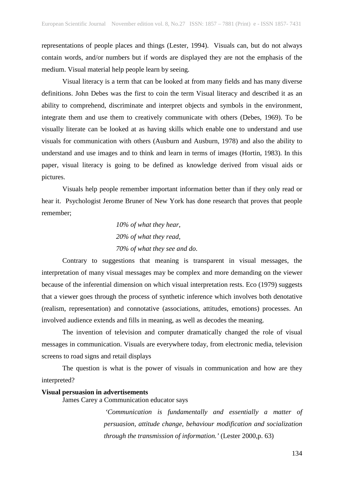representations of people places and things (Lester, 1994). Visuals can, but do not always contain words, and/or numbers but if words are displayed they are not the emphasis of the medium. Visual material help people learn by seeing.

Visual literacy is a term that can be looked at from many fields and has many diverse definitions. John Debes was the first to coin the term Visual literacy and described it as an ability to comprehend, discriminate and interpret objects and symbols in the environment, integrate them and use them to creatively communicate with others (Debes, 1969). To be visually literate can be looked at as having skills which enable one to understand and use visuals for communication with others (Ausburn and Ausburn, 1978) and also the ability to understand and use images and to think and learn in terms of images (Hortin, 1983). In this paper, visual literacy is going to be defined as knowledge derived from visual aids or pictures.

Visuals help people remember important information better than if they only read or hear it. Psychologist Jerome Bruner of New York has done research that proves that people remember;

 *10% of what they hear, 20% of what they read, 70% of what they see and do*.

Contrary to suggestions that meaning is transparent in visual messages, the interpretation of many visual messages may be complex and more demanding on the viewer because of the inferential dimension on which visual interpretation rests. Eco (1979) suggests that a viewer goes through the process of synthetic inference which involves both denotative (realism, representation) and connotative (associations, attitudes, emotions) processes. An involved audience extends and fills in meaning, as well as decodes the meaning.

The invention of television and computer dramatically changed the role of visual messages in communication. Visuals are everywhere today, from electronic media, television screens to road signs and retail displays

The question is what is the power of visuals in communication and how are they interpreted?

#### **Visual persuasion in advertisements**

James Carey a Communication educator says

*'Communication is fundamentally and essentially a matter of persuasion, attitude change, behaviour modification and socialization through the transmission of information.'* (Lester 2000,p. 63)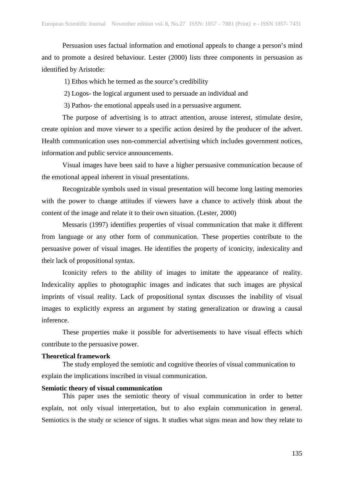Persuasion uses factual information and emotional appeals to change a person's mind and to promote a desired behaviour. Lester (2000) lists three components in persuasion as identified by Aristotle:

1) Ethos which he termed as the source's credibility

2) Logos- the logical argument used to persuade an individual and

3) Pathos- the emotional appeals used in a persuasive argument.

The purpose of advertising is to attract attention, arouse interest, stimulate desire, create opinion and move viewer to a specific action desired by the producer of the advert. Health communication uses non-commercial advertising which includes government notices, information and public service announcements.

Visual images have been said to have a higher persuasive communication because of the emotional appeal inherent in visual presentations.

Recognizable symbols used in visual presentation will become long lasting memories with the power to change attitudes if viewers have a chance to actively think about the content of the image and relate it to their own situation. (Lester, 2000)

Messaris (1997) identifies properties of visual communication that make it different from language or any other form of communication. These properties contribute to the persuasive power of visual images. He identifies the property of iconicity, indexicality and their lack of propositional syntax.

Iconicity refers to the ability of images to imitate the appearance of reality. Indexicality applies to photographic images and indicates that such images are physical imprints of visual reality. Lack of propositional syntax discusses the inability of visual images to explicitly express an argument by stating generalization or drawing a causal inference.

These properties make it possible for advertisements to have visual effects which contribute to the persuasive power.

# **Theoretical framework**

The study employed the semiotic and cognitive theories of visual communication to explain the implications inscribed in visual communication.

# **Semiotic theory of visual communication**

This paper uses the semiotic theory of visual communication in order to better explain, not only visual interpretation, but to also explain communication in general. Semiotics is the study or science of signs. It studies what signs mean and how they relate to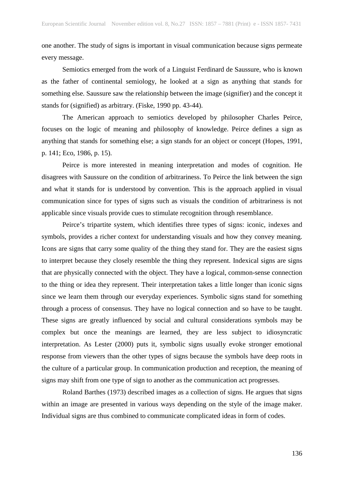one another. The study of signs is important in visual communication because signs permeate every message.

Semiotics emerged from the work of a Linguist Ferdinard de Saussure, who is known as the father of continental semiology, he looked at a sign as anything that stands for something else. Saussure saw the relationship between the image (signifier) and the concept it stands for (signified) as arbitrary. (Fiske, 1990 pp. 43-44).

The American approach to semiotics developed by philosopher Charles Peirce, focuses on the logic of meaning and philosophy of knowledge. Peirce defines a sign as anything that stands for something else; a sign stands for an object or concept (Hopes, 1991, p. 141; Eco, 1986, p. 15).

Peirce is more interested in meaning interpretation and modes of cognition. He disagrees with Saussure on the condition of arbitrariness. To Peirce the link between the sign and what it stands for is understood by convention. This is the approach applied in visual communication since for types of signs such as visuals the condition of arbitrariness is not applicable since visuals provide cues to stimulate recognition through resemblance.

Peirce's tripartite system, which identifies three types of signs: iconic, indexes and symbols, provides a richer context for understanding visuals and how they convey meaning. Icons are signs that carry some quality of the thing they stand for. They are the easiest signs to interpret because they closely resemble the thing they represent. Indexical signs are signs that are physically connected with the object. They have a logical, common-sense connection to the thing or idea they represent. Their interpretation takes a little longer than iconic signs since we learn them through our everyday experiences. Symbolic signs stand for something through a process of consensus. They have no logical connection and so have to be taught. These signs are greatly influenced by social and cultural considerations symbols may be complex but once the meanings are learned, they are less subject to idiosyncratic interpretation. As Lester (2000) puts it, symbolic signs usually evoke stronger emotional response from viewers than the other types of signs because the symbols have deep roots in the culture of a particular group. In communication production and reception, the meaning of signs may shift from one type of sign to another as the communication act progresses.

Roland Barthes (1973) described images as a collection of signs. He argues that signs within an image are presented in various ways depending on the style of the image maker. Individual signs are thus combined to communicate complicated ideas in form of codes.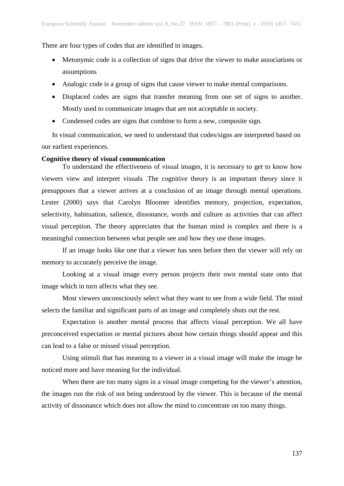There are four types of codes that are identified in images.

- Metonymic code is a collection of signs that drive the viewer to make associations or assumptions
- Analogic code is a group of signs that cause viewer to make mental comparisons.
- Displaced codes are signs that transfer meaning from one set of signs to another. Mostly used to communicate images that are not acceptable in society.
- Condensed codes are signs that combine to form a new, composite sign.

In visual communication, we need to understand that codes/signs are interpreted based on our earliest experiences.

# **Cognitive theory of visual communication**

To understand the effectiveness of visual images, it is necessary to get to know how viewers view and interpret visuals .The cognitive theory is an important theory since it presupposes that a viewer arrives at a conclusion of an image through mental operations. Lester (2000) says that Carolyn Bloomer identifies memory, projection, expectation, selectivity, habituation, salience, dissonance, words and culture as activities that can affect visual perception. The theory appreciates that the human mind is complex and there is a meaningful connection between what people see and how they use those images.

If an image looks like one that a viewer has seen before then the viewer will rely on memory to accurately perceive the image.

Looking at a visual image every person projects their own mental state onto that image which in turn affects what they see.

Most viewers unconsciously select what they want to see from a wide field. The mind selects the familiar and significant parts of an image and completely shuts out the rest.

Expectation is another mental process that affects visual perception. We all have preconceived expectation or mental pictures about how certain things should appear and this can lead to a false or missed visual perception.

Using stimuli that has meaning to a viewer in a visual image will make the image be noticed more and have meaning for the individual.

When there are too many signs in a visual image competing for the viewer's attention, the images run the risk of not being understood by the viewer. This is because of the mental activity of dissonance which does not allow the mind to concentrate on too many things.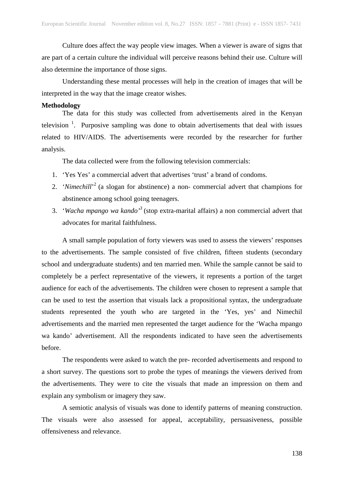Culture does affect the way people view images. When a viewer is aware of signs that are part of a certain culture the individual will perceive reasons behind their use. Culture will also determine the importance of those signs.

Understanding these mental processes will help in the creation of images that will be interpreted in the way that the image creator wishes.

#### **Methodology**

The data for this study was collected from advertisements aired in the Kenyan television<sup>1</sup>. Purposive sampling was done to obtain advertisements that deal with issues related to HIV/AIDS. The advertisements were recorded by the researcher for further analysis.

The data collected were from the following television commercials:

- 1. 'Yes Yes' a commercial advert that advertises 'trust' a brand of condoms.
- 2. '*Nimechill*<sup>'2</sup> (a slogan for abstinence) a non- commercial advert that champions for abstinence among school going teenagers.
- 3. '*Wacha mpango wa kando'3* (stop extra-marital affairs) a non commercial advert that advocates for marital faithfulness.

A small sample population of forty viewers was used to assess the viewers' responses to the advertisements. The sample consisted of five children, fifteen students (secondary school and undergraduate students) and ten married men. While the sample cannot be said to completely be a perfect representative of the viewers, it represents a portion of the target audience for each of the advertisements. The children were chosen to represent a sample that can be used to test the assertion that visuals lack a propositional syntax, the undergraduate students represented the youth who are targeted in the 'Yes, yes' and Nimechil advertisements and the married men represented the target audience for the 'Wacha mpango wa kando' advertisement. All the respondents indicated to have seen the advertisements before.

The respondents were asked to watch the pre- recorded advertisements and respond to a short survey. The questions sort to probe the types of meanings the viewers derived from the advertisements. They were to cite the visuals that made an impression on them and explain any symbolism or imagery they saw.

A semiotic analysis of visuals was done to identify patterns of meaning construction. The visuals were also assessed for appeal, acceptability, persuasiveness, possible offensiveness and relevance.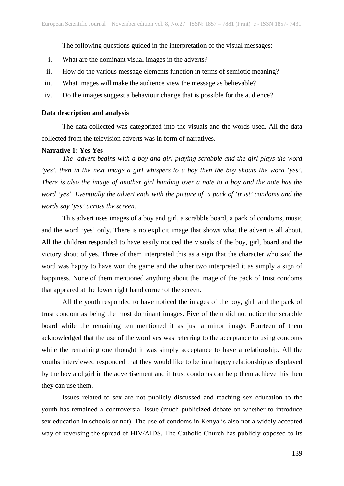The following questions guided in the interpretation of the visual messages:

- i. What are the dominant visual images in the adverts?
- ii. How do the various message elements function in terms of semiotic meaning?
- iii. What images will make the audience view the message as believable?
- iv. Do the images suggest a behaviour change that is possible for the audience?

#### **Data description and analysis**

The data collected was categorized into the visuals and the words used. All the data collected from the television adverts was in form of narratives.

# **Narrative 1: Yes Yes**

*The advert begins with a boy and girl playing scrabble and the girl plays the word 'yes', then in the next image a girl whispers to a boy then the boy shouts the word 'yes'. There is also the image of another girl handing over a note to a boy and the note has the word 'yes'. Eventually the advert ends with the picture of a pack of 'trust' condoms and the words say 'yes' across the screen.*

This advert uses images of a boy and girl, a scrabble board, a pack of condoms, music and the word 'yes' only. There is no explicit image that shows what the advert is all about. All the children responded to have easily noticed the visuals of the boy, girl, board and the victory shout of yes. Three of them interpreted this as a sign that the character who said the word was happy to have won the game and the other two interpreted it as simply a sign of happiness. None of them mentioned anything about the image of the pack of trust condoms that appeared at the lower right hand corner of the screen.

All the youth responded to have noticed the images of the boy, girl, and the pack of trust condom as being the most dominant images. Five of them did not notice the scrabble board while the remaining ten mentioned it as just a minor image. Fourteen of them acknowledged that the use of the word yes was referring to the acceptance to using condoms while the remaining one thought it was simply acceptance to have a relationship. All the youths interviewed responded that they would like to be in a happy relationship as displayed by the boy and girl in the advertisement and if trust condoms can help them achieve this then they can use them.

Issues related to sex are not publicly discussed and teaching sex education to the youth has remained a controversial issue (much publicized debate on whether to introduce sex education in schools or not). The use of condoms in Kenya is also not a widely accepted way of reversing the spread of HIV/AIDS. The Catholic Church has publicly opposed to its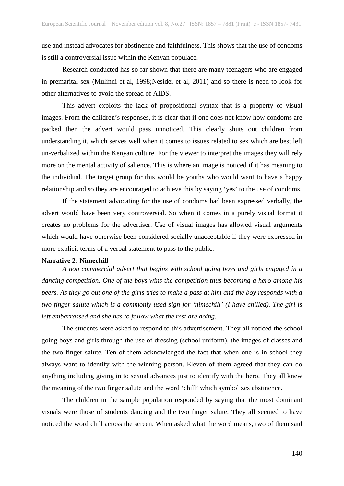use and instead advocates for abstinence and faithfulness. This shows that the use of condoms is still a controversial issue within the Kenyan populace.

Research conducted has so far shown that there are many teenagers who are engaged in premarital sex (Mulindi et al, 1998;Nesidei et al, 2011) and so there is need to look for other alternatives to avoid the spread of AIDS.

This advert exploits the lack of propositional syntax that is a property of visual images. From the children's responses, it is clear that if one does not know how condoms are packed then the advert would pass unnoticed. This clearly shuts out children from understanding it, which serves well when it comes to issues related to sex which are best left un-verbalized within the Kenyan culture. For the viewer to interpret the images they will rely more on the mental activity of salience. This is where an image is noticed if it has meaning to the individual. The target group for this would be youths who would want to have a happy relationship and so they are encouraged to achieve this by saying 'yes' to the use of condoms.

If the statement advocating for the use of condoms had been expressed verbally, the advert would have been very controversial. So when it comes in a purely visual format it creates no problems for the advertiser. Use of visual images has allowed visual arguments which would have otherwise been considered socially unacceptable if they were expressed in more explicit terms of a verbal statement to pass to the public.

#### **Narrative 2: Nimechill**

*A non commercial advert that begins with school going boys and girls engaged in a dancing competition. One of the boys wins the competition thus becoming a hero among his peers. As they go out one of the girls tries to make a pass at him and the boy responds with a two finger salute which is a commonly used sign for 'nimechill' (I have chilled). The girl is left embarrassed and she has to follow what the rest are doing.*

The students were asked to respond to this advertisement. They all noticed the school going boys and girls through the use of dressing (school uniform), the images of classes and the two finger salute. Ten of them acknowledged the fact that when one is in school they always want to identify with the winning person. Eleven of them agreed that they can do anything including giving in to sexual advances just to identify with the hero. They all knew the meaning of the two finger salute and the word 'chill' which symbolizes abstinence.

The children in the sample population responded by saying that the most dominant visuals were those of students dancing and the two finger salute. They all seemed to have noticed the word chill across the screen. When asked what the word means, two of them said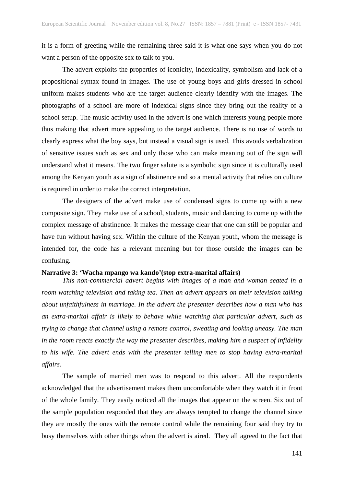it is a form of greeting while the remaining three said it is what one says when you do not want a person of the opposite sex to talk to you.

The advert exploits the properties of iconicity, indexicality, symbolism and lack of a propositional syntax found in images. The use of young boys and girls dressed in school uniform makes students who are the target audience clearly identify with the images. The photographs of a school are more of indexical signs since they bring out the reality of a school setup. The music activity used in the advert is one which interests young people more thus making that advert more appealing to the target audience. There is no use of words to clearly express what the boy says, but instead a visual sign is used. This avoids verbalization of sensitive issues such as sex and only those who can make meaning out of the sign will understand what it means. The two finger salute is a symbolic sign since it is culturally used among the Kenyan youth as a sign of abstinence and so a mental activity that relies on culture is required in order to make the correct interpretation.

The designers of the advert make use of condensed signs to come up with a new composite sign. They make use of a school, students, music and dancing to come up with the complex message of abstinence. It makes the message clear that one can still be popular and have fun without having sex. Within the culture of the Kenyan youth, whom the message is intended for, the code has a relevant meaning but for those outside the images can be confusing.

#### **Narrative 3: 'Wacha mpango wa kando'(stop extra-marital affairs)**

*This non-commercial advert begins with images of a man and woman seated in a room watching television and taking tea. Then an advert appears on their television talking about unfaithfulness in marriage. In the advert the presenter describes how a man who has an extra-marital affair is likely to behave while watching that particular advert, such as trying to change that channel using a remote control, sweating and looking uneasy. The man in the room reacts exactly the way the presenter describes, making him a suspect of infidelity to his wife. The advert ends with the presenter telling men to stop having extra-marital affairs*.

The sample of married men was to respond to this advert. All the respondents acknowledged that the advertisement makes them uncomfortable when they watch it in front of the whole family. They easily noticed all the images that appear on the screen. Six out of the sample population responded that they are always tempted to change the channel since they are mostly the ones with the remote control while the remaining four said they try to busy themselves with other things when the advert is aired. They all agreed to the fact that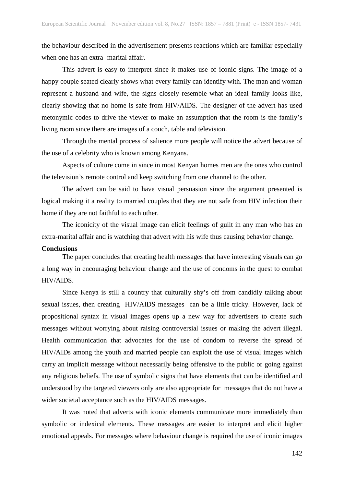the behaviour described in the advertisement presents reactions which are familiar especially when one has an extra- marital affair.

This advert is easy to interpret since it makes use of iconic signs. The image of a happy couple seated clearly shows what every family can identify with. The man and woman represent a husband and wife, the signs closely resemble what an ideal family looks like, clearly showing that no home is safe from HIV/AIDS. The designer of the advert has used metonymic codes to drive the viewer to make an assumption that the room is the family's living room since there are images of a couch, table and television.

Through the mental process of salience more people will notice the advert because of the use of a celebrity who is known among Kenyans.

Aspects of culture come in since in most Kenyan homes men are the ones who control the television's remote control and keep switching from one channel to the other.

The advert can be said to have visual persuasion since the argument presented is logical making it a reality to married couples that they are not safe from HIV infection their home if they are not faithful to each other.

The iconicity of the visual image can elicit feelings of guilt in any man who has an extra-marital affair and is watching that advert with his wife thus causing behavior change.

#### **Conclusions**

The paper concludes that creating health messages that have interesting visuals can go a long way in encouraging behaviour change and the use of condoms in the quest to combat HIV/AIDS.

Since Kenya is still a country that culturally shy's off from candidly talking about sexual issues, then creating HIV/AIDS messages can be a little tricky. However, lack of propositional syntax in visual images opens up a new way for advertisers to create such messages without worrying about raising controversial issues or making the advert illegal. Health communication that advocates for the use of condom to reverse the spread of HIV/AIDs among the youth and married people can exploit the use of visual images which carry an implicit message without necessarily being offensive to the public or going against any religious beliefs. The use of symbolic signs that have elements that can be identified and understood by the targeted viewers only are also appropriate for messages that do not have a wider societal acceptance such as the HIV/AIDS messages.

It was noted that adverts with iconic elements communicate more immediately than symbolic or indexical elements. These messages are easier to interpret and elicit higher emotional appeals. For messages where behaviour change is required the use of iconic images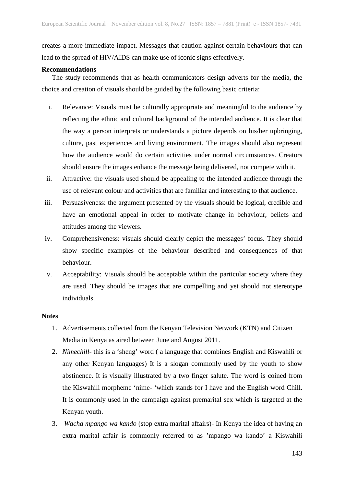creates a more immediate impact. Messages that caution against certain behaviours that can lead to the spread of HIV/AIDS can make use of iconic signs effectively.

# **Recommendations**

The study recommends that as health communicators design adverts for the media, the choice and creation of visuals should be guided by the following basic criteria:

- i. Relevance: Visuals must be culturally appropriate and meaningful to the audience by reflecting the ethnic and cultural background of the intended audience. It is clear that the way a person interprets or understands a picture depends on his/her upbringing, culture, past experiences and living environment. The images should also represent how the audience would do certain activities under normal circumstances. Creators should ensure the images enhance the message being delivered, not compete with it.
- ii. Attractive: the visuals used should be appealing to the intended audience through the use of relevant colour and activities that are familiar and interesting to that audience.
- iii. Persuasiveness: the argument presented by the visuals should be logical, credible and have an emotional appeal in order to motivate change in behaviour, beliefs and attitudes among the viewers.
- iv. Comprehensiveness: visuals should clearly depict the messages' focus. They should show specific examples of the behaviour described and consequences of that behaviour.
- v. Acceptability: Visuals should be acceptable within the particular society where they are used. They should be images that are compelling and yet should not stereotype individuals.

# **Notes**

- 1. Advertisements collected from the Kenyan Television Network (KTN) and Citizen Media in Kenya as aired between June and August 2011.
- 2. *Nimechill* this is a 'sheng' word ( a language that combines English and Kiswahili or any other Kenyan languages) It is a slogan commonly used by the youth to show abstinence. It is visually illustrated by a two finger salute. The word is coined from the Kiswahili morpheme 'nime- 'which stands for I have and the English word Chill. It is commonly used in the campaign against premarital sex which is targeted at the Kenyan youth.
- 3. *Wacha mpango wa kando* (stop extra marital affairs)- In Kenya the idea of having an extra marital affair is commonly referred to as 'mpango wa kando' a Kiswahili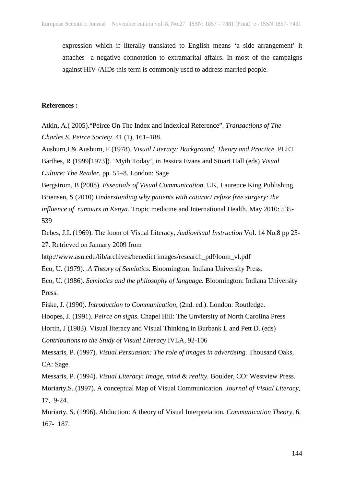expression which if literally translated to English means 'a side arrangement' it attaches a negative connotation to extramarital affairs. In most of the campaigns against HIV /AIDs this term is commonly used to address married people.

# **References :**

Atkin, A.( 2005)."Peirce On The Index and Indexical Reference". *Transactions of The Charles S. Peirce Society*. 41 (1), 161–188.

Ausburn,L& Ausburn, F (1978). *Visual Literacy: Background, Theory and Practice*. PLET

Barthes, R (1999[1973]). 'Myth Today', in Jessica Evans and Stuart Hall (eds) *Visual Culture: The Reader*, pp. 51–8. London: Sage

Bergstrom, B (2008). *Essentials of Visual Communication*. UK, Laurence King Publishing.

Briensen, S (2010) *Understanding why patients with cataract refuse free surgery: the* 

*influence of rumours in Kenya.* Tropic medicine and International Health. May 2010: 535- 539

Debes, J.L (1969). The loom of Visual Literacy, *Audiovisual Instruction* Vol. 14 No.8 pp 25- 27. Retrieved on January 2009 from

http://www.asu.edu/lib/archives/benedict images/research\_pdf/loom\_vl.pdf

Eco, U. (1979). .*A Theory of Semiotics.* Bloomington: Indiana University Press.

Eco, U. (1986). *Semiotics and the philosophy of language.* Bloomington: Indiana University Press.

Fiske, J. (1990). *Introduction to Communication,* (2nd. ed.). London: Routledge.

Hoopes, J. (1991). *Peirce on signs.* Chapel Hill: The Unviersity of North Carolina Press

Hortin, J (1983). Visual literacy and Visual Thinking in Burbank L and Pett D. (eds)

*Contributions to the Study of Visual Literacy* IVLA, 92-106

Messaris, P. (1997). *Visual Persuasion: The role of images in advertising.* Thousand Oaks, CA: Sage.

Messaris, P. (1994). *Visual Literacy: Image, mind* & *reality.* Boulder, CO: Westview Press. Moriarty,S. (1997). A conceptual Map of Visual Communication. *Journal of Visual Literacy,*  17, 9-24.

Moriarty, S. (1996). Abduction: A theory of Visual Interpretation. *Communication Theory,* 6, 167- 187.